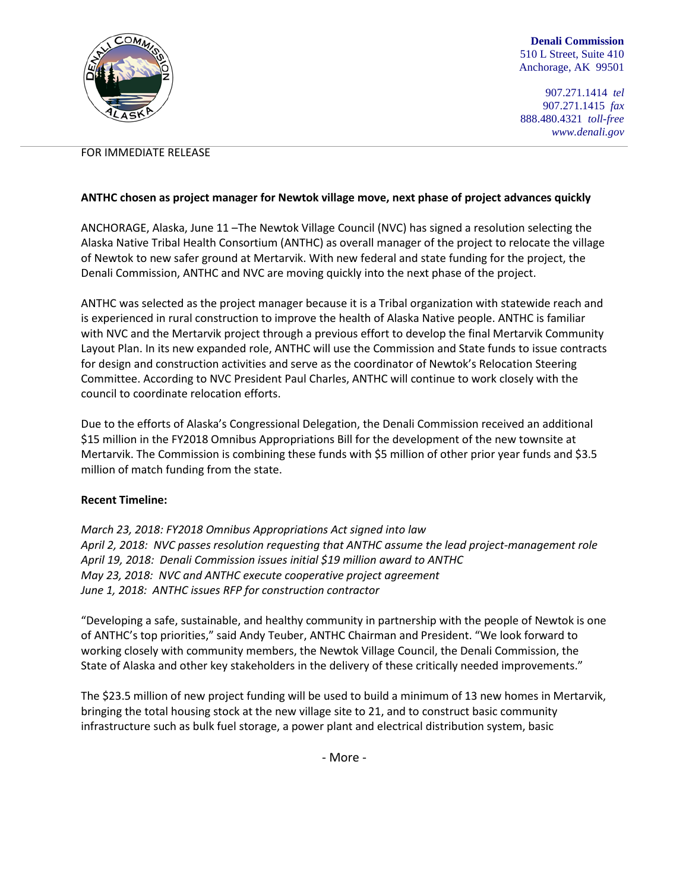

**Denali Commission** 510 L Street, Suite 410 Anchorage, AK 99501

907.271.1414 *tel* 907.271.1415 *fax* 888.480.4321 *toll-free www.denali.gov*

## FOR IMMEDIATE RELEASE

## **ANTHC chosen as project manager for Newtok village move, next phase of project advances quickly**

ANCHORAGE, Alaska, June 11 –The Newtok Village Council (NVC) has signed a resolution selecting the Alaska Native Tribal Health Consortium (ANTHC) as overall manager of the project to relocate the village of Newtok to new safer ground at Mertarvik. With new federal and state funding for the project, the Denali Commission, ANTHC and NVC are moving quickly into the next phase of the project.

ANTHC was selected as the project manager because it is a Tribal organization with statewide reach and is experienced in rural construction to improve the health of Alaska Native people. ANTHC is familiar with NVC and the Mertarvik project through a previous effort to develop the final Mertarvik Community Layout Plan. In its new expanded role, ANTHC will use the Commission and State funds to issue contracts for design and construction activities and serve as the coordinator of Newtok's Relocation Steering Committee. According to NVC President Paul Charles, ANTHC will continue to work closely with the council to coordinate relocation efforts.

Due to the efforts of Alaska's Congressional Delegation, the Denali Commission received an additional \$15 million in the FY2018 Omnibus Appropriations Bill for the development of the new townsite at Mertarvik. The Commission is combining these funds with \$5 million of other prior year funds and \$3.5 million of match funding from the state.

## **Recent Timeline:**

*March 23, 2018: FY2018 Omnibus Appropriations Act signed into law April 2, 2018: NVC passes resolution requesting that ANTHC assume the lead project-management role April 19, 2018: Denali Commission issues initial \$19 million award to ANTHC May 23, 2018: NVC and ANTHC execute cooperative project agreement June 1, 2018: ANTHC issues RFP for construction contractor*

"Developing a safe, sustainable, and healthy community in partnership with the people of Newtok is one of ANTHC's top priorities," said Andy Teuber, ANTHC Chairman and President. "We look forward to working closely with community members, the Newtok Village Council, the Denali Commission, the State of Alaska and other key stakeholders in the delivery of these critically needed improvements."

The \$23.5 million of new project funding will be used to build a minimum of 13 new homes in Mertarvik, bringing the total housing stock at the new village site to 21, and to construct basic community infrastructure such as bulk fuel storage, a power plant and electrical distribution system, basic

- More -